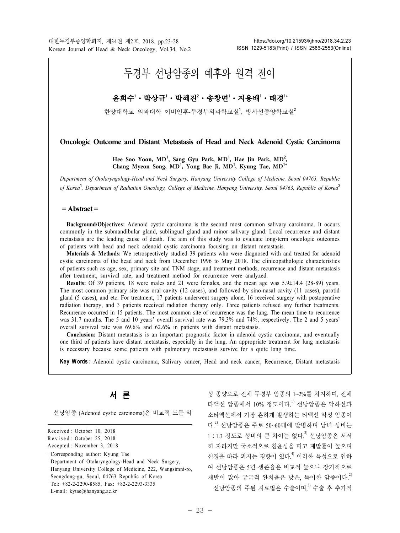# 두경부 선낭암종의 예후와 원격 전이

### 윤희수 $1 \cdot$  박상규 $1 \cdot$  박혜진 $^2 \cdot$  송창면 $^1 \cdot$  지용배 $^1 \cdot$  태경 $^{1 \cdot}$

한양대학교 의과대학 이비인후-두경부외과학교실<sup>1</sup>, 방사선종양학교실<sup>2</sup>

#### **Oncologic Outcome and Distant Metastasis of Head and Neck Adenoid Cystic Carcinoma**

Hee Soo Yoon, MD<sup>1</sup>, Sang Gyu Park, MD<sup>1</sup>, Hae Jin Park, MD<sup>2</sup>, **Chang Myeon Song, MD**<sup>1</sup> **, Yong Bae Ji, MD**<sup>1</sup> **, Kyung Tae, MD**1+

Department of Otolaryngology-Head and Neck Surgery, Hanyang University College of Medicine, Seoul 04763, Republic of Korea<sup>1</sup>, Department of Radiation Oncology, College of Medicine, Hanyang University, Seoul 04763, Republic of Korea<sup>2</sup>

#### $=$  Abstract  $=$

Background/Objectives: Adenoid cystic carcinoma is the second most common salivary carcinoma. It occurs commonly in the submandibular gland, sublingual gland and minor salivary gland. Local recurrence and distant metastasis are the leading cause of death. The aim of this study was to evaluate long-term oncologic outcomes of patients with head and neck adenoid cystic carcinoma focusing on distant metastasis.

Materials & Methods: We retrospectively studied 39 patients who were diagnosed with and treated for adenoid cystic carcinoma of the head and neck from December 1996 to May 2018. The clinicopathologic characteristics of patients such as age, sex, primary site and TNM stage, and treatment methods, recurrence and distant metastasis after treatment, survival rate, and treatment method for recurrence were analyzed.

Results: Of 39 patients, 18 were males and 21 were females, and the mean age was 5.9±14.4 (28-89) years. The most common primary site was oral cavity (12 cases), and followed by sino-nasal cavity (11 cases), parotid gland (5 cases), and etc. For treatment, 17 patients underwent surgery alone, 16 received surgery with postoperative radiation therapy, and 3 patients received radiation therapy only. Three patients refused any further treatments. Recurrence occurred in 15 patients. The most common site of recurrence was the lung. The mean time to recurrence was 31.7 months. The 5 and 10 years' overall survival rate was 79.3% and 74%, respectively. The 2 and 5 years' overall survival rate was 69.6% and 62.6% in patients with distant metastasis.

Conclusion: Distant metastasis is an important prognostic factor in adenoid cystic carcinoma, and eventually one third of patients have distant metastasis, especially in the lung. An appropriate treatment for lung metastasis is necessary because some patients with pulmonary metastasis survive for a quite long time.

Key Words : Adenoid cystic carcinoma, Salivary cancer, Head and neck cancer, Recurrence, Distant metastasis

### 서 론

선낭암종 (Adenoid cystic carcinoma)은 비교적 드문 악

- Received : October 10, 2018
- Revised : October 25, 2018
- Accepted : November 3, 2018
- +Corresponding author: Kyung Tae Department of Otolaryngology-Head and Neck Surgery, Hanyang University College of Medicine, 222, Wangsimni-ro, Seongdong-gu, Seoul, 04763 Republic of Korea Tel: +82-2-2290-8585, Fax: +82-2-2293-3335 E-mail: kytae@hanyang.ac.kr

성 종양으로 전체 두경부 암종의 1~2%를 차지하며, 전체 타액선 암종에서 10% 정도이다. 1) 선낭암종은 악하선과 소타액선에서 가장 흔하게 발생하는 타액선 악성 암종이 다. 2) 선낭암종은 주로 50~60대에 발병하며 남녀 성비는 1 : 1.3 정도로 성비의 큰 차이는 없다.<sup>3)</sup> 선낭암종은 서서 히 자라지만 국소적으로 침윤성을 띠고 재발률이 높으며 신경을 따라 퍼지는 경향이 있다.<sup>4)</sup> 이러한 특성으로 인하 여 선낭암종은 5년 생존율은 비교적 높으나 장기적으로 재발이 많아 궁극적 완치율은 낮은, 특이한 암종이다.<sup>2)</sup> 선낭암종의 주된 치료법은 수술이며,<sup>9</sup> 수술 후 추가적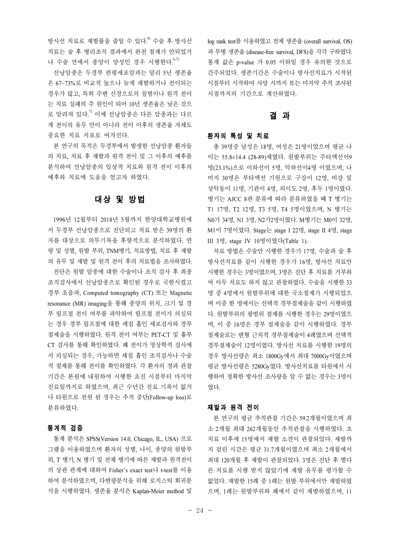방사선 치료로 재발률을 줄일 수 있다.<sup>6</sup> 수술 후 방사선 치료는 술 후 병리조직 결과에서 완전 절제가 안되었거 나 수술 연에서 종양이 양성인 경우 시행한다. 6,7)

선낭암종은 두경부 편평세포암과는 달리 5년 생존율 은 67~73%로 비교적 높으나 늦게 재발하거나 전이되는 경우가 많고, 특히 주변 신경으로의 침범이나 원격 전이 는 치료 실패의 주 원인이 되어 10년 생존율은 낮은 것으 로 알려져 있다.<sup>7)</sup> 이에 선낭암종은 다른 암종과는 다르 게 전이의 유무 만이 아니라 전이 이후의 생존율 자체도 중요한 치료 지표로 여겨진다.

본 연구의 목적은 두경부에서 발생한 선낭암종 환자들 의 치료, 치료 후 재발과 원격 전이 및 그 이후의 예후를 분석하여 선낭암종의 임상적 치료와 원격 전이 이후의 예후와 치료에 도움을 얻고자 하였다.

### 대상 및 방법

1996년 12월부터 2018년 5월까지 한양대학교병원에 서 두경부 선낭암종으로 진단되고 치료 받은 39명의 환 자를 대상으로 의무기록을 후향적으로 분석하였다. 연 령 및 성별, 원발 부위, TNM병기, 치료방법, 치료 후 재발 의 유무 및 재발 및 원격 전이 후의 치료법을 조사하였다.

진단은 원발 암종에 대한 수술이나 조직 검사 후 최종 조직검사에서 선낭암종으로 확인된 경우로 국한시켰고 경부 초음파, Computed tomography (CT) 또는 Magnetic resonance (MR) imaging을 통해 종양의 위치, 크기 및 경 부 림프절 전이 여부를 파악하여 림프절 전이가 의심되 는 경우 경부 림프절에 대한 세침 흡인 세포검사와 경부 절제술을 시행하였다. 원격 전이 여부는 PET-CT 및 흉부 CT 검사를 통해 확인하였다. 폐 전이가 영상학적 검사에 서 의심되는 경우, 가능하면 세침 흡인 조직검사나 수술 적 절제를 통해 전이를 확인하였다. 각 환자의 경과 관찰 기간은 본원에 내원하여 시행한 초진 시점부터 마지막 진료일까지로 하였으며, 최근 수년간 진료 기록이 없거 나 타원으로 전원 된 경우는 추적 중단(Follow-up loss)로 분류하였다.

### 통계적 검증

통계 분석은 SPSS(Version 14.0, Chicago, IL, USA) 프로 그램을 이용하였으며 환자의 성별, 나이, 종양의 원발부 위, T 병기, N 병기 및 전체 병기에 따른 재발과 원격전이 의 상관 관계에 대하여 Fisher's exact test나 t-test를 이용 하여 분석하였으며, 다변량분석을 위해 로지스틱 회귀분 석을 시행하였다. 생존율 분석은 Kaplan-Meier method 및

log rank test를 이용하였고 전체 생존율 (overall survival, OS) 과 무병 생존율 (disease-free survival, DFS)을 각각 구하였다. 통계 값은 p-value 가 0.05 이하일 경우 유의한 것으로 간주되었다. 생존기간은 수술이나 방사선치료가 시작된 시점부터 시작하여 사망 시까지 또는 마지막 추적 조사된 시점까지의 기간으로 계산하였다.

### 결 과

### 환자의 특성 및 치료

총 39명중 남성은 18명, 여성은 21명이었으며 평균 나 이는 55.8±14.4 (28-89)세였다. 원발부위는 주타액선이9 명(23.1%)으로 이하선이 5명, 악하선이4명 이였으며, 나 머지 30명은 부타액선 기원으로 구강이 12명, 비강 및 상악동이 11명, 기관이 4명, 외이도 2명, 후두 1명이였다. 병기는 AJCC 8판 분류에 따라 분류하였을 때 T 병기는 T1 17명, T2 12명, T3 5명, T4 5명이였으며, N 병기는 N0가 34명, N1 3명, N2가2명이였다. M병기는 M0이 32명, M1이 7명이였다. Stage는 stage I 22명, stage II 4명, stage III 3명, stage IV 10명이였다(Table 1).

치료 방법은 수술만 시행한 경우가 17명, 수술과 술 후 방사선치료를 같이 시행한 경우가 16명, 방사선 치료만 시행한 경우는 3명이였으며, 3명은 진단 후 치료를 거부하 여 아무 치료도 하지 않고 관찰하였다. 수술을 시행한 33 명 중 4명에서 원발부위에 대한 국소절제가 시행되었으 며 이중 한 명에서는 선택적 경부절제술을 같이 시행하였 다. 원발부위의 광범위 절제를 시행한 경우는 29명이였으 며, 이 중 16명은 경부 절제술을 같이 시행하였다. 경부 절제술로는 변형 근치적 경부절제술이 4례였으며 선택적 경부절제술이 12명이였다. 방사선 치료를 시행한 19명의 경우 방사선량은 최소 1800Gy에서 최대 7000Gy이였으며 평균 방사선량은 5280Gy였다. 방사선치료를 타원에서 시 행하여 정확한 방사선 조사량을 알 수 없는 경우는 3명이 였다.

#### 재발과 원격 전이

본 연구의 평균 추적관찰 기간은 59.2개월이였으며 최 소 2개월 최대 262개월동안 추적관찰을 시행하였다. 초 치료 이후에 15명에서 재발 소견이 관찰되었다. 재발까 지 걸린 시간은 평균 31.7개월이였으며 최소 2개월에서 최대 120개월 후 재발이 관찰되었다. 3명은 진단 후 별다 른 치료를 시행 받지 않았기에 재발 유무를 평가할 수 없었다. 재발한 15례 중 1례는 원발 부위에서만 재발하였 으며, 1례는 원발부위와 폐에서 같이 재발하였으며, 11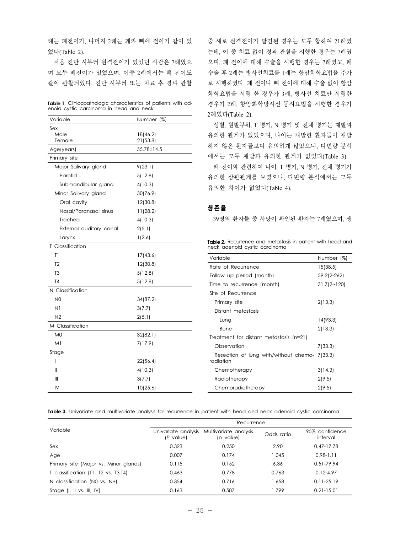례는 폐전이가, 나머지 2례는 폐와 뼈에 전이가 같이 있 었다(Table 2).

처음 진단 시부터 원격전이가 있었던 사람은 7례였으 며 모두 폐전이가 있었으며, 이중 2례에서는 뼈 전이도 같이 관찰되었다. 진단 시부터 또는 치료 후 경과 관찰

|  | <b>Table 1.</b> Clinicopathologic characteristics of patients with ad- |  |  |  |  |
|--|------------------------------------------------------------------------|--|--|--|--|
|  | enoid cystic carcinoma in head and neck                                |  |  |  |  |

| Variable                | Number (%)            |  |  |  |
|-------------------------|-----------------------|--|--|--|
| Sex                     |                       |  |  |  |
| Male<br>Female          | 18(46.2)<br>21 (53.8) |  |  |  |
| Age(years)              | 55.78±14.5            |  |  |  |
| Primary site            |                       |  |  |  |
| Major Salivary gland    | 9(23.1)               |  |  |  |
| Parotid                 | 5(12.8)               |  |  |  |
| Submandibular gland     | 4(10.3)               |  |  |  |
| Minor Salivary gland    | 30(76.9)              |  |  |  |
| Oral cavity             | 12(30.8)              |  |  |  |
| Nasal/Paranasal sinus   | 11(28.2)              |  |  |  |
| Trachea                 | 4(10.3)               |  |  |  |
| External auditory canal | 2(5.1)                |  |  |  |
| Larynx                  | 1(2.6)                |  |  |  |
| T Classification        |                       |  |  |  |
| T1                      | 17(43.6)              |  |  |  |
| T <sub>2</sub>          | 12(30.8)              |  |  |  |
| T <sub>3</sub>          | 5(12.8)               |  |  |  |
| <b>T4</b>               | 5(12.8)               |  |  |  |
| N Classification        |                       |  |  |  |
| N <sub>0</sub>          | 34(87.2)              |  |  |  |
| N1                      | 3(7.7)                |  |  |  |
| N <sub>2</sub>          | 2(5.1)                |  |  |  |
| M Classification        |                       |  |  |  |
| M0                      | 32(82.1)              |  |  |  |
| M1                      | 7(17.9)               |  |  |  |
| Stage                   |                       |  |  |  |
| I                       | 22(56.4)              |  |  |  |
| $\mathsf{II}$           | 4(10.3)               |  |  |  |
| $\mathbf{III}$          | 3(7.7)                |  |  |  |
| IV                      | 10(25.6)              |  |  |  |

중 새로 원격전이가 발견된 경우는 모두 합하여 21례였 는데, 이 중 치료 없이 경과 관찰을 시행한 경우는 7례였 으며, 폐 전이에 대해 수술을 시행한 경우는 7례였고, 폐 수술 후 2례는 방사선치료를 1례는 항암화학요법을 추가 로 시행하였다. 폐 전이나 뼈 전이에 대해 수술 없이 항암 화학요법을 시행 한 경우가 3례, 방사선 치료만 시행한 경우가 2례, 항암화학방사선 동시요법을 시행한 경우가 2례였다(Table 2).

성별, 원발부위, T 병기, N 병기 및 전체 병기는 재발과 유의한 관계가 없었으며, 나이는 재발한 환자들이 재발 하지 않은 환자들보다 유의하게 많았으나, 다변량 분석 에서는 모두 재발과 유의한 관계가 없었다(Table 3).

폐 전이와 관련하여 나이, T 병기, N 병기, 전체 병기가 유의한 상관관계를 보였으나, 다변량 분석에서는 모두 유의한 차이가 없었다(Table 4).

#### 생존율

39명의 환자들 중 사망이 확인된 환자는 7례였으며, 생

Table 2. Recurrence and metastasis in patient with head and neck adenoid cystic carcinoma

| Variable                                           | Number (%)  |  |  |
|----------------------------------------------------|-------------|--|--|
| Rate of Recurrence                                 | 15(38.5)    |  |  |
| Follow up period (month)                           | 59.2(2-262) |  |  |
| Time to recurrence (month)                         | 31.7(2~120) |  |  |
| Site of Recurrence                                 |             |  |  |
| Primary site                                       | 2(13.3)     |  |  |
| Distant metastasis                                 |             |  |  |
| Lung                                               | 14(93.3)    |  |  |
| Bone                                               | 2(13.3)     |  |  |
| Treatment for distant metastasis (n=21)            |             |  |  |
| Observation                                        | 7(33.3)     |  |  |
| Resection of lung with/without chemo-<br>radiation | 7(33.3)     |  |  |
| Chemotherapy                                       | 3(14.3)     |  |  |
| Radiotherapy                                       | 2(9.5)      |  |  |
| Chemoradiotherapy                                  | 2(9.5)      |  |  |

Table 3. Univariate and multivariate analysis for recurrence in patient with head and neck adenoid cystic carcinoma

|                                       | Recurrence                       |                                    |            |                            |  |  |  |
|---------------------------------------|----------------------------------|------------------------------------|------------|----------------------------|--|--|--|
| Variable                              | Univariate analysis<br>(P value) | Multivariate analysis<br>(p value) | Odds ratio | 95% confidence<br>interval |  |  |  |
| Sex                                   | 0.323                            | 0.250                              | 2.90       | $0.47 - 17.78$             |  |  |  |
| Age                                   | 0.007                            | 0.174                              | 1.045      | $0.98 - 1.11$              |  |  |  |
| Primary site (Major vs. Minor glands) | 0.115                            | 0.152                              | 6.36       | $0.51 - 79.94$             |  |  |  |
| T classification (T1, T2 vs. T3,T4)   | 0.463                            | 0.778                              | 0.763      | $0.12 - 4.97$              |  |  |  |
| N classification (NO vs. $N+$ )       | 0.354                            | 0.716                              | 1.658      | $0.11 - 25.19$             |  |  |  |
| Stage $(I, II vs. III, IV)$           | 0.163                            | 0.587                              | 1.799      | $0.21 - 15.01$             |  |  |  |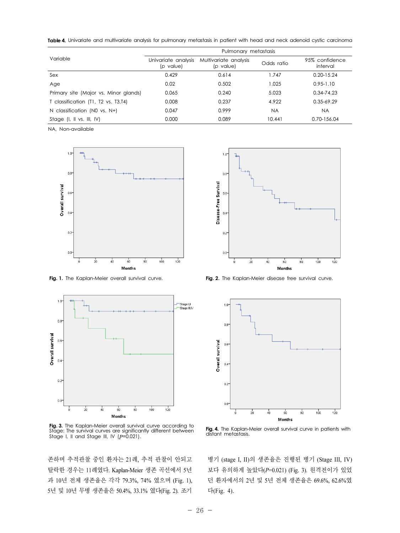Table 4. Univariate and multivariate analysis for pulmonary metastasis in patient with head and neck adenoid cystic carcinoma

|                                       | Pulmonary metastasis             |                                    |            |                            |  |  |  |
|---------------------------------------|----------------------------------|------------------------------------|------------|----------------------------|--|--|--|
| Variable                              | Univariate analysis<br>(p value) | Multivariate analysis<br>(p value) | Odds ratio | 95% confidence<br>interval |  |  |  |
| Sex                                   | 0.429                            | 0.614                              | 1.747      | $0.20 - 15.24$             |  |  |  |
| Age                                   | 0.02                             | 0.502                              | 1.025      | $0.95 - 1.10$              |  |  |  |
| Primary site (Major vs. Minor glands) | 0.065                            | 0.240                              | 5.023      | 0.34-74.23                 |  |  |  |
| T classification (T1, T2 vs. T3,T4)   | 0.008                            | 0.237                              | 4.922      | 0.35-69.29                 |  |  |  |
| N classification (N0 vs. $N+$ )       | 0.047                            | 0.999                              | <b>NA</b>  | <b>NA</b>                  |  |  |  |
| Stage $(I, II vs. III, IV)$           | 0.000                            | 0.089                              | 10.441     | 0.70-156.04                |  |  |  |

NA, Non-available



Fig. 1. The Kaplan-Meier overall survival curve.



Fig. 3. The Kaplan-Meier overall survival curve according to Stage: The survival curves are significantly different between Stage I, II and Stage III, IV  $(P=0.021)$ .

존하며 추적관찰 중인 환자는 21례, 추적 관찰이 안되고 탈락한 경우는 11례였다. Kaplan-Meier 생존 곡선에서 5년 과 10년 전체 생존율은 각각 79.3%, 74% 였으며 (Fig. 1), 5년 및 10년 무병 생존율은 50.4%, 33.1% 였다(Fig. 2). 조기



Fig. 2. The Kaplan-Meier disease free survival curve.



**Fig. 4.** The Kaplan-Meier overall survival curve in patients with<br>distant metastasis.

병기 (stage I, II)의 생존율은 진행된 병기 (Stage III, IV) 보다 유의하게 높았다(P=0.021) (Fig. 3). 원격전이가 있었 던 환자에서의 2년 및 5년 전체 생존율은 69.6%, 62.6%였 다(Fig. 4).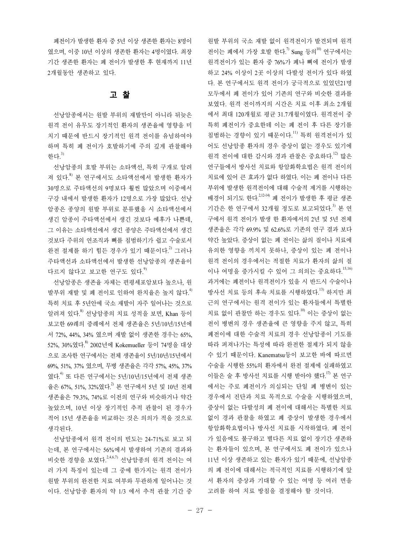폐전이가 발생한 환자 중 5년 이상 생존한 환자는 8명이 였으며, 이중 10년 이상의 생존한 환자는 4명이였다. 최장 기간 생존한 환자는 폐 전이가 발생한 후 현재까지 11년 2개월동안 생존하고 있다.

### 고 찰

선낭암종에서는 원발 부위의 재발만이 아니라 뒤늦은 원격 전이 유무도 장기적인 환자의 생존율에 영향을 미 치기 때문에 반드시 장기적인 원격 전이를 유념하여야 하며 특히 폐 전이가 호발하기에 주의 깊게 관찰해야 한다.  $3$ 

선낭암종의 호발 부위는 소타액선, 특히 구개로 알려 져 있다.<sup>8)</sup> 본 연구에서도 소타액선에서 발생한 환자가 30명으로 주타액선의 9명보다 훨씬 많았으며 이중에서 구강 내에서 발생한 환자가 12명으로 가장 많았다. 선낭 암종은 종양의 원발 부위로 분류했을 시 소타액선에서 생긴 암종이 주타액선에서 생긴 것보다 예후가 나쁜데, 그 이유는 소타액선에서 생긴 종양은 주타액선에서 생긴 것보다 주위의 연조직과 뼈를 침범하기가 쉽고 수술로서 완전 절제를 하기 힘든 경우가 있기 때문이다.<sup>2)</sup> 그러나 주타액선과 소타액선에서 발생한 선낭암종의 생존율이 다르지 않다고 보고한 연구도 있다.<sup>9)</sup>

선낭암종은 생존율 자체는 편평세포암보다 높으나, 원 발부위 재발 및 폐 전이로 인하여 완치율은 높지 않다.<sup>4)</sup> 특히 치료 후 5년안에 국소 재발이 자주 일어나는 것으로 알려져 있다. 8) 선낭암종의 치료 성적을 보면, Khan 등이 보고한 69례의 증례에서 전체 생존율은 5년/10년/15년에 서 72%, 44%, 34% 였으며 재발 없이 생존한 경우는 65%, 52%, 30%였다. 8) 2002년에 Kokemueller 등이 74명을 대상 으로 조사한 연구에서는 전체 생존율이 5년/10년/15년에서 69%, 51%, 37% 였으며, 무병 생존율은 각각 57%, 45%, 37% 였다. 4) 또 다른 연구에서는 5년/10년/15년에서 전체 생존 율은 67%, 51%, 32%였다.<sup>2)</sup> 본 연구에서 5년 및 10년 전체 생존율은 79.3%, 74%로 이전의 연구와 비슷하거나 약간 높았으며, 10년 이상 장기적인 추적 관찰이 된 경우가 적어 15년 생존율을 비교하는 것은 의의가 적을 것으로 생각된다.

선낭암종에서 원격 전이의 빈도는 24-71%로 보고 되 는데, 본 연구에서는 56%에서 발생하여 기존의 결과와 비슷한 경향을 보였다.<sup>2,4,6,7)</sup> 선낭암종의 원격 전이는 여 러 가지 특징이 있는데 그 중에 한가지는 원격 전이가 원발 부위의 완전한 치료 여부와 무관하게 일어나는 것 이다. 선낭암종 환자의 약 1/3 에서 추적 관찰 기간 중 원발 부위의 국소 재발 없이 원격전이가 발견되며 원격 전이는 폐에서 가장 호발 한다.<sup>7)</sup> Sung 등의<sup>10)</sup> 연구에서는 원격전이가 있는 환자 중 76%가 폐나 뼈에 전이가 발생 하고 24% 이상이 2곳 이상의 다발성 전이가 있다 하였 다. 본 연구에서도 원격 전이가 궁극적으로 있었던21명 모두에서 폐 전이가 있어 기존의 연구와 비슷한 결과를 보였다. 원격 전이까지의 시간은 치료 이후 최소 2개월 에서 최대 120개월로 평균 31.7개월이였다. 원격전이 중 특히 폐전이가 중요한데 이는 폐 전이 후 다른 장기를 침범하는 경향이 있기 때문이다. 11) 특히 원격전이가 있 어도 선낭암종 환자의 경우 증상이 없는 경우도 있기에 원격 전이에 대한 감시와 경과 관찰은 중요하다.<sup>12)</sup> 많은 연구들에서 방사선 치료와 항암화학요법은 원격 전이의 치료에 있어 큰 효과가 없다 하였다. 이는 폐 전이나 다른 부위에 발생한 원격전이에 대해 수술적 제거를 시행하는 배경이 되기도 한다. 2,12-14) 폐 전이가 발생한 후 평균 생존 기간은 한 연구에서 32개월 정도로 보고되었다.<sup>3)</sup> 본 연 구에서 원격 전이가 발생 한 환자에서의 2년 및 5년 전체 생존율은 각각 69.9% 및 62.6%로 기존의 연구 결과 보다 약간 높았다. 증상이 없는 폐 전이는 삶의 질이나 치료에 유의한 영향을 끼치지 못하나, 증상이 있는 폐 전이나 원격 전이의 경우에서는 적절한 치료가 환자의 삶의 질 이나 여명을 증가시킬 수 있어 그 의의는 중요하다. 15,16) 과거에는 폐전이나 원격전이가 있을 시 반드시 수술이나 방사선 치료 등의 후속 치료를 시행하였다.<sup>13)</sup> 하지만 최 근의 연구에서는 원격 전이가 있는 환자들에서 특별한 치료 없이 관찰만 하는 경우도 있다.<sup>10)</sup> 이는 증상이 없는 전이 병변의 경우 생존율에 큰 영향을 주지 않고, 특히 폐전이에 대한 수술적 치료의 경우 선낭암종이 기도를 따라 퍼져나가는 특성에 따라 완전한 절제가 되지 않을 수 있기 때문이다. Kanematsu등이 보고한 바에 따르면 수술을 시행한 55%의 환자에서 완전 절제에 실패하였고 이들은 술 후 방사선 치료를 시행 받아야 했다.<sup>17</sup> 본 연구 에서는 주로 폐전이가 의심되는 단일 폐 병변이 있는 경우에서 진단과 치료 목적으로 수술을 시행하였으며, 증상이 없는 다발성의 폐 전이에 대해서는 특별한 치료 없이 경과 관찰을 하였고 폐 증상이 발생한 경우에서 항암화학요법이나 방사선 치료를 시작하였다. 폐 전이 가 있음에도 불구하고 별다른 치료 없이 장기간 생존하 는 환자들이 있으며, 본 연구에서도 폐 전이가 있으나 11년 이상 생존하고 있는 환자가 있기 때문에, 선낭암종 의 폐 전이에 대해서는 적극적인 치료를 시행하기에 앞 서 환자의 증상과 기대할 수 있는 여명 등 여러 면을 고려를 하여 치료 방침을 결정해야 할 것이다.